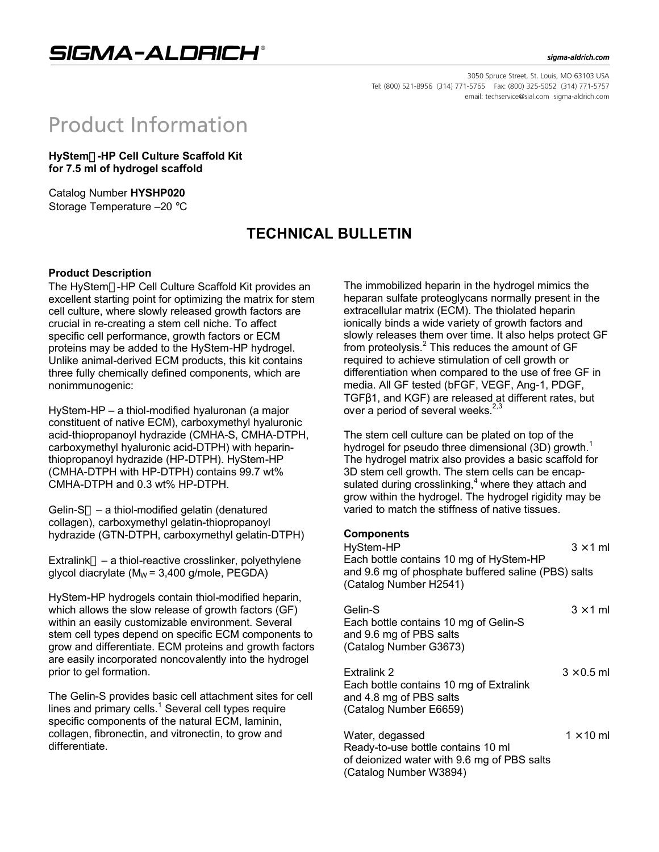SIGMA-ALDRICH®

#### sigma-aldrich.com

3050 Spruce Street, St. Louis, MO 63103 USA Tel: (800) 521-8956 (314) 771-5765 Fax: (800) 325-5052 (314) 771-5757 email: techservice@sial.com sigma-aldrich.com

# **Product Information**

**HyStem-HP Cell Culture Scaffold Kit for 7.5 ml of hydrogel scaffold**

Catalog Number **HYSHP020** Storage Temperature –20 °C

## **TECHNICAL BULLETIN**

#### **Product Description**

The HyStem™-HP Cell Culture Scaffold Kit provides an excellent starting point for optimizing the matrix for stem cell culture, where slowly released growth factors are crucial in re-creating a stem cell niche. To affect specific cell performance, growth factors or ECM proteins may be added to the HyStem-HP hydrogel. Unlike animal-derived ECM products, this kit contains three fully chemically defined components, which are nonimmunogenic:

HyStem-HP – a thiol-modified hyaluronan (a major constituent of native ECM), carboxymethyl hyaluronic acid-thiopropanoyl hydrazide (CMHA-S, CMHA-DTPH, carboxymethyl hyaluronic acid-DTPH) with heparinthiopropanoyl hydrazide (HP-DTPH). HyStem-HP (CMHA-DTPH with HP-DTPH) contains 99.7 wt% CMHA-DTPH and 0.3 wt% HP-DTPH.

Gelin-S<sup>TM</sup> – a thiol-modified gelatin (denatured collagen), carboxymethyl gelatin-thiopropanoyl hydrazide (GTN-DTPH, carboxymethyl gelatin-DTPH)

 $Extralink<sup>TM</sup> - a thiol-reactive crosslinker, polyethylene$ glycol diacrylate ( $M_W$  = 3,400 g/mole, PEGDA)

HyStem-HP hydrogels contain thiol-modified heparin, which allows the slow release of growth factors (GF) within an easily customizable environment. Several stem cell types depend on specific ECM components to grow and differentiate. ECM proteins and growth factors are easily incorporated noncovalently into the hydrogel prior to gel formation.

The Gelin-S provides basic cell attachment sites for cell lines and primary cells. $<sup>1</sup>$  Several cell types require</sup> specific components of the natural ECM, laminin, collagen, fibronectin, and vitronectin, to grow and differentiate.

The immobilized heparin in the hydrogel mimics the heparan sulfate proteoglycans normally present in the extracellular matrix (ECM). The thiolated heparin ionically binds a wide variety of growth factors and slowly releases them over time. It also helps protect GF from proteolysis.<sup>2</sup> This reduces the amount of GF required to achieve stimulation of cell growth or differentiation when compared to the use of free GF in media. All GF tested (bFGF, VEGF, Ang-1, PDGF, TGFβ1, and KGF) are released at different rates, but over a period of several weeks. $2,3$ 

The stem cell culture can be plated on top of the hydrogel for pseudo three dimensional  $(3D)$  growth.<sup>1</sup> The hydrogel matrix also provides a basic scaffold for 3D stem cell growth. The stem cells can be encapsulated during crosslinking, $4$  where they attach and grow within the hydrogel. The hydrogel rigidity may be varied to match the stiffness of native tissues.

### **Components**

| HyStem-HP                                           | $3 \times 1$ ml |
|-----------------------------------------------------|-----------------|
| Each bottle contains 10 mg of HyStem-HP             |                 |
| and 9.6 mg of phosphate buffered saline (PBS) salts |                 |
| (Catalog Number H2541)                              |                 |
|                                                     |                 |

| Gelin-S<br>Each bottle contains 10 mg of Gelin-S<br>and 9.6 mg of PBS salts<br>(Catalog Number G3673)       | $3 \times 1$ ml   |
|-------------------------------------------------------------------------------------------------------------|-------------------|
| Extralink 2<br>Each bottle contains 10 mg of Extralink<br>and 4.8 mg of PBS salts<br>(Catalog Number E6659) | $3 \times 0.5$ ml |
| Water, degassed<br>Peady to use bottle contains 10 ml                                                       | $1 \times 10$ ml  |

Ready-to-use bottle contains 10 ml of deionized water with 9.6 mg of PBS salts (Catalog Number W3894)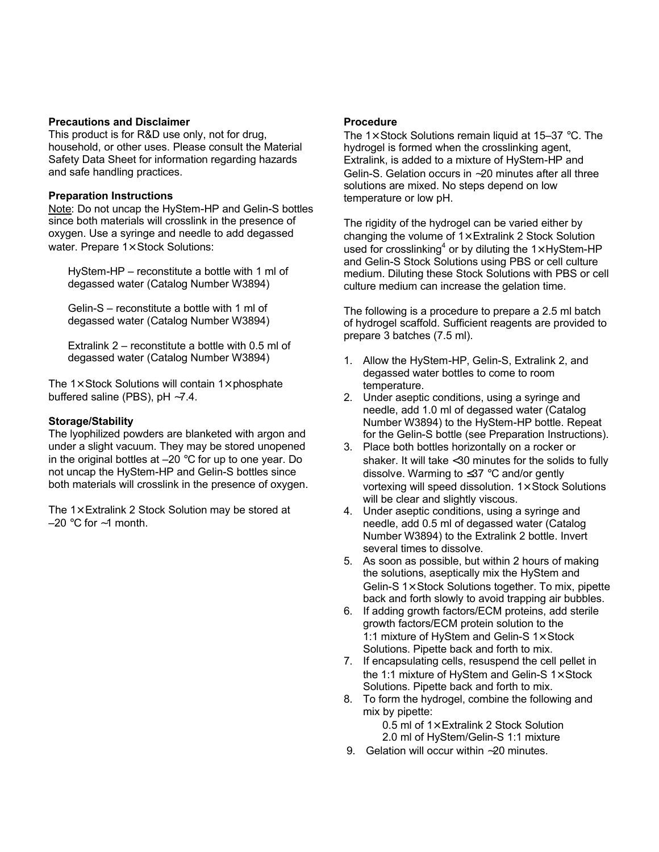#### **Precautions and Disclaimer**

This product is for R&D use only, not for drug, household, or other uses. Please consult the Material Safety Data Sheet for information regarding hazards and safe handling practices.

#### **Preparation Instructions**

Note: Do not uncap the HyStem-HP and Gelin-S bottles since both materials will crosslink in the presence of oxygen. Use a syringe and needle to add degassed water. Prepare  $1 \times$  Stock Solutions:

HyStem-HP – reconstitute a bottle with 1 ml of degassed water (Catalog Number W3894)

Gelin-S – reconstitute a bottle with 1 ml of degassed water (Catalog Number W3894)

Extralink 2 – reconstitute a bottle with 0.5 ml of degassed water (Catalog Number W3894)

The  $1\times$  Stock Solutions will contain  $1\times$  phosphate buffered saline (PBS), pH ∼7.4.

#### **Storage/Stability**

The lyophilized powders are blanketed with argon and under a slight vacuum. They may be stored unopened in the original bottles at  $-20$  °C for up to one year. Do not uncap the HyStem-HP and Gelin-S bottles since both materials will crosslink in the presence of oxygen.

The  $1\times$  Extralink 2 Stock Solution may be stored at –20 °C for ∼1 month.

#### **Procedure**

The 1 $\times$  Stock Solutions remain liquid at 15–37 °C. The hydrogel is formed when the crosslinking agent, Extralink, is added to a mixture of HyStem-HP and Gelin-S. Gelation occurs in ∼20 minutes after all three solutions are mixed. No steps depend on low temperature or low pH.

The rigidity of the hydrogel can be varied either by changing the volume of  $1 \times$  Extralink 2 Stock Solution used for crosslinking<sup>4</sup> or by diluting the 1 $\times$  HyStem-HP and Gelin-S Stock Solutions using PBS or cell culture medium. Diluting these Stock Solutions with PBS or cell culture medium can increase the gelation time.

The following is a procedure to prepare a 2.5 ml batch of hydrogel scaffold. Sufficient reagents are provided to prepare 3 batches (7.5 ml).

- 1. Allow the HyStem-HP, Gelin-S, Extralink 2, and degassed water bottles to come to room temperature.
- 2. Under aseptic conditions, using a syringe and needle, add 1.0 ml of degassed water (Catalog Number W3894) to the HyStem-HP bottle. Repeat for the Gelin-S bottle (see Preparation Instructions).
- 3. Place both bottles horizontally on a rocker or shaker. It will take <30 minutes for the solids to fully dissolve. Warming to ≤37 °C and/or gently vortexing will speed dissolution.  $1 \times$  Stock Solutions will be clear and slightly viscous.
- 4. Under aseptic conditions, using a syringe and needle, add 0.5 ml of degassed water (Catalog Number W3894) to the Extralink 2 bottle. Invert several times to dissolve.
- 5. As soon as possible, but within 2 hours of making the solutions, aseptically mix the HyStem and Gelin-S 1× Stock Solutions together. To mix, pipette back and forth slowly to avoid trapping air bubbles.
- 6. If adding growth factors/ECM proteins, add sterile growth factors/ECM protein solution to the 1:1 mixture of HyStem and Gelin-S 1× Stock Solutions. Pipette back and forth to mix.
- 7. If encapsulating cells, resuspend the cell pellet in the 1:1 mixture of HyStem and Gelin-S 1× Stock Solutions. Pipette back and forth to mix.
- 8. To form the hydrogel, combine the following and mix by pipette:

0.5 ml of 1× Extralink 2 Stock Solution

- 2.0 ml of HyStem/Gelin-S 1:1 mixture
- 9. Gelation will occur within ∼20 minutes.